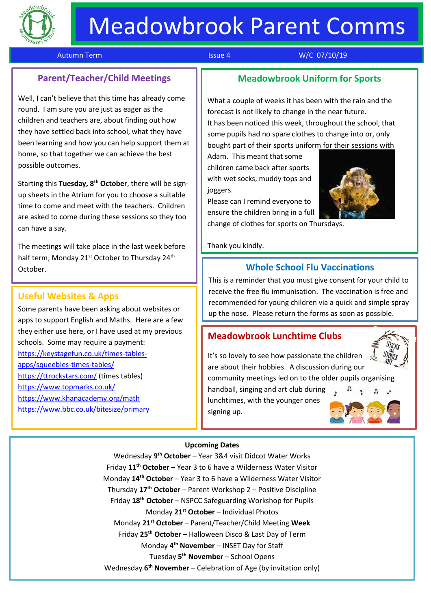

# Meadowbrook Parent Comms

#### Autumn Term **Issue 4** Number 2012 12:30 Number 2012 13:30 Number 2012 13:30 Number 2014 13:30 Number 2014 13:30

# **Parent/Teacher/Child Meetings**

Well, I can't believe that this time has already come round. I am sure you are just as eager as the children and teachers are, about finding out how they have settled back into school, what they have been learning and how you can help support them at home, so that together we can achieve the best possible outcomes.

Starting this **Tuesday, 8th October**, there will be signup sheets in the Atrium for you to choose a suitable time to come and meet with the teachers. Children are asked to come during these sessions so they too can have a say.

The meetings will take place in the last week before half term; Monday 21<sup>st</sup> October to Thursday 24<sup>th</sup> October.

## **Useful Websites & Apps**

Some parents have been asking about websites or apps to support English and Maths. Here are a few they either use here, or I have used at my previous schools. Some may require a payment: [https://keystagefun.co.uk/times-tables](https://keystagefun.co.uk/times-tables-apps/squeebles-times-tables/)[apps/squeebles-times-tables/](https://keystagefun.co.uk/times-tables-apps/squeebles-times-tables/) <https://ttrockstars.com/> (times tables) <https://www.topmarks.co.uk/> <https://www.khanacademy.org/math> <https://www.bbc.co.uk/bitesize/primary>

# **Meadowbrook Uniform for Sports**

What a couple of weeks it has been with the rain and the forecast is not likely to change in the near future. It has been noticed this week, throughout the school, that some pupils had no spare clothes to change into or, only bought part of their sports uniform for their sessions with

Adam. This meant that some children came back after sports with wet socks, muddy tops and joggers.

Please can I remind everyone to ensure the children bring in a full change of clothes for sports on Thursdays.

Thank you kindly.

#### **Whole School Flu Vaccinations**

This is a reminder that you must give consent for your child to receive the free flu immunisation. The vaccination is free and recommended for young children via a quick and simple spray up the nose. Please return the forms as soon as possible.

#### **Meadowbrook Lunchtime Clubs**



It's so lovely to see how passionate the children are about their hobbies. A discussion during our community meetings led on to the older pupils organising

handball, singing and art club during lunchtimes, with the younger ones signing up.



#### **Upcoming Dates**

Wednesday **9 th October** – Year 3&4 visit Didcot Water Works Friday **11th October** – Year 3 to 6 have a Wilderness Water Visitor Monday **14th October** – Year 3 to 6 have a Wilderness Water Visitor Thursday **17th October** – Parent Workshop 2 – Positive Discipline Friday **18th October** – NSPCC Safeguarding Workshop for Pupils Monday **21st October** – Individual Photos Monday **21st October** – Parent/Teacher/Child Meeting **Week** Friday **25th October** – Halloween Disco & Last Day of Term Monday **4 th November** – INSET Day for Staff Tuesday **5 th November** – School Opens Wednesday **6 th November** – Celebration of Age (by invitation only)